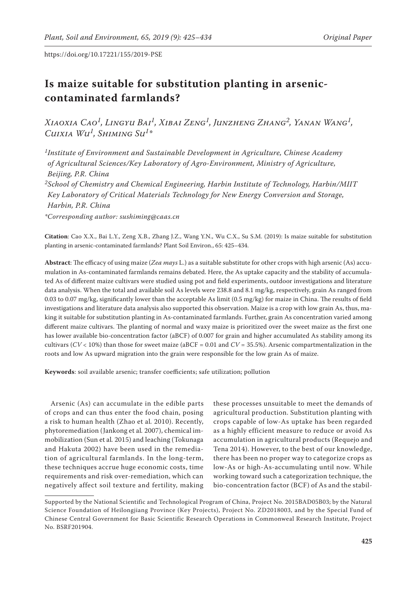# **Is maize suitable for substitution planting in arseniccontaminated farmlands?**

*Xiaoxia Cao1, Lingyu Bai1, Xibai Zeng1, Junzheng Zhang2, Yanan Wang1, Cuixia Wu1, Shiming Su1\**

*1Institute of Environment and Sustainable Development in Agriculture, Chinese Academy of Agricultural Sciences/Key Laboratory of Agro-Environment, Ministry of Agriculture, Beijing, P.R. China*

*2School of Chemistry and Chemical Engineering, Harbin Institute of Technology, Harbin/MIIT Key Laboratory of Critical Materials Technology for New Energy Conversion and Storage, Harbin, P.R. China*

*\*Corresponding author: sushiming@caas.cn*

**Citation**: Cao X.X., Bai L.Y., Zeng X.B., Zhang J.Z., Wang Y.N., Wu C.X., Su S.M. (2019): Is maize suitable for substitution planting in arsenic-contaminated farmlands? Plant Soil Environ., 65: 425–434.

**Abstract**: The efficacy of using maize (*Zea mays* L.) as a suitable substitute for other crops with high arsenic (As) accumulation in As-contaminated farmlands remains debated. Here, the As uptake capacity and the stability of accumulated As of different maize cultivars were studied using pot and field experiments, outdoor investigations and literature data analysis. When the total and available soil As levels were 238.8 and 8.1 mg/kg, respectively, grain As ranged from 0.03 to 0.07 mg/kg, significantly lower than the acceptable As limit (0.5 mg/kg) for maize in China. The results of field investigations and literature data analysis also supported this observation. Maize is a crop with low grain As, thus, making it suitable for substitution planting in As-contaminated farmlands. Further, grain As concentration varied among different maize cultivars. The planting of normal and waxy maize is prioritized over the sweet maize as the first one has lower available bio-concentration factor (aBCF) of 0.007 for grain and higher accumulated As stability among its cultivars ( $CV < 10\%$ ) than those for sweet maize (aBCF = 0.01 and  $CV = 35.5\%$ ). Arsenic compartmentalization in the roots and low As upward migration into the grain were responsible for the low grain As of maize.

**Keywords**: soil available arsenic; transfer coefficients; safe utilization; pollution

Arsenic (As) can accumulate in the edible parts of crops and can thus enter the food chain, posing a risk to human health (Zhao et al*.* 2010). Recently, phytoremediation (Jankong et al*.* 2007), chemical immobilization (Sun et al*.* 2015) and leaching (Tokunaga and Hakuta 2002) have been used in the remediation of agricultural farmlands. In the long-term, these techniques accrue huge economic costs, time requirements and risk over-remediation, which can negatively affect soil texture and fertility, making

these processes unsuitable to meet the demands of agricultural production. Substitution planting with crops capable of low-As uptake has been regarded as a highly efficient measure to reduce or avoid As accumulation in agricultural products (Requejo and Tena 2014). However, to the best of our knowledge, there has been no proper way to categorize crops as low-As or high-As-accumulating until now. While working toward such a categorization technique, the bio-concentration factor (BCF) of As and the stabil-

Supported by the National Scientific and Technological Program of China, Project No. 2015BAD05B03; by the Natural Science Foundation of Heilongjiang Province (Key Projects), Project No. ZD2018003, and by the Special Fund of Chinese Central Government for Basic Scientific Research Operations in Commonweal Research Institute, Project No. BSRF201904.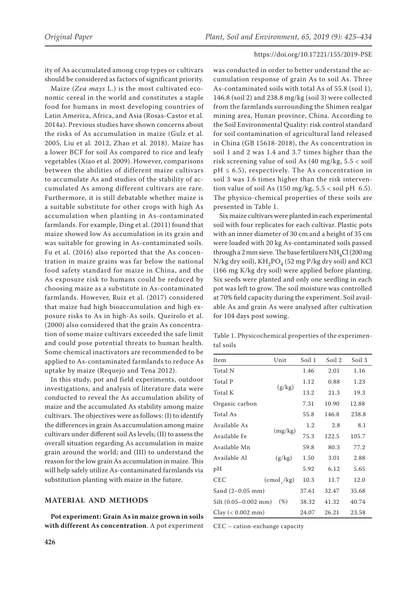ity of As accumulated among crop types or cultivars should be considered as factors of significant priority.

Maize (*Zea mays* L.) is the most cultivated economic cereal in the world and constitutes a staple food for humans in most developing countries of Latin America, Africa, and Asia (Rosas-Castor et al*.* 2014a). Previous studies have shown concerns about the risks of As accumulation in maize (Gulz et al*.* 2005, Liu et al*.* 2012, Zhao et al*.* 2018). Maize has a lower BCF for soil As compared to rice and leafy vegetables (Xiao et al. 2009). However, comparisons between the abilities of different maize cultivars to accumulate As and studies of the stability of accumulated As among different cultivars are rare. Furthermore, it is still debatable whether maize is a suitable substitute for other crops with high As accumulation when planting in As-contaminated farmlands. For example, Ding et al. (2011) found that maize showed low As accumulation in its grain and was suitable for growing in As-contaminated soils. Fu et al. (2016) also reported that the As concentration in maize grains was far below the national food safety standard for maize in China, and the As exposure risk to humans could be reduced by choosing maize as a substitute in As-contaminated farmlands. However, Ruiz et al. (2017) considered that maize had high bioaccumulation and high exposure risks to As in high-As soils. Queirolo et al. (2000) also considered that the grain As concentration of some maize cultivars exceeded the safe limit and could pose potential threats to human health. Some chemical inactivators are recommended to be applied to As-contaminated farmlands to reduce As uptake by maize (Requejo and Tena 2012).

In this study, pot and field experiments, outdoor investigations, and analysis of literature data were conducted to reveal the As accumulation ability of maize and the accumulated As stability among maize cultivars. The objectives were as follows: (I) to identify the differences in grain As accumulation among maize cultivars under different soil As levels; (II) to assess the overall situation regarding As accumulation in maize grain around the world; and (III) to understand the reason for the low grain As accumulation in maize. This will help safely utilize As-contaminated farmlands via substitution planting with maize in the future.

# **MATERIAL AND METHODS**

**Pot experiment: Grain As in maize grown in soils with different As concentration**. A pot experiment was conducted in order to better understand the accumulation response of grain As to soil As. Three As-contaminated soils with total As of 55.8 (soil 1), 146.8 (soil 2) and 238.8 mg/kg (soil 3) were collected from the farmlands surrounding the Shimen realgar mining area, Hunan province, China. According to the Soil Environmental Quality: risk control standard for soil contamination of agricultural land released in China (GB 15618-2018), the As concentration in soil 1 and 2 was 1.4 and 3.7 times higher than the risk screening value of soil As (40 mg/kg, 5.5 < soil  $pH \leq 6.5$ ), respectively. The As concentration in soil 3 was 1.6 times higher than the risk intervention value of soil As  $(150 \text{ mg/kg}, 5.5 < \text{soil pH } 6.5)$ . The physico-chemical properties of these soils are presented in Table 1.

Six maize cultivars were planted in each experimental soil with four replicates for each cultivar. Plastic pots with an inner diameter of 30 cm and a height of 35 cm were loaded with 20 kg As-contaminated soils passed through a  $2$  mm sieve. The base fertilizers  $NH_4Cl$  (200 mg N/kg dry soil),  $KH_{2}PO_{4}$  (52 mg P/kg dry soil) and KCl (166 mg K/kg dry soil) were applied before planting. Six seeds were planted and only one seedling in each pot was left to grow. The soil moisture was controlled at 70% field capacity during the experiment. Soil available As and grain As were analysed after cultivation for 104 days post sowing.

Table 1. Physicochemical properties of the experimental soils

| Item                     | Unit            | Soil 1 | Soil 3 |       |  |
|--------------------------|-----------------|--------|--------|-------|--|
| Total N                  |                 | 1.46   | 2.01   | 1.16  |  |
| Total P                  |                 | 1.12   | 0.88   | 1.23  |  |
| Total K                  | (g/kg)          | 13.2   | 21.3   | 19.3  |  |
| Organic carbon           |                 | 7.31   | 10.90  | 12.88 |  |
| Total As                 |                 | 55.8   | 146.8  | 238.8 |  |
| Available As             |                 | 1.2    | 2.8    | 8.1   |  |
| Available Fe             | (mg/kg)         | 75.3   | 122.5  | 105.7 |  |
| Available Mn             |                 | 59.8   | 80.3   | 77.2  |  |
| Available Al             | (g/kg)          | 1.50   | 3.01   | 2.88  |  |
| pН                       |                 | 5.92   | 6.12   | 5.65  |  |
| <b>CEC</b>               | $(cmol_{1}/kg)$ | 10.3   | 11.7   | 12.0  |  |
| Sand $(2-0.05$ mm)       |                 | 37.61  | 32.47  |       |  |
| $Silt (0.05 - 0.002 mm)$ | (% )            | 38.32  | 41.32  | 40.74 |  |
| Clay $(< 0.002$ mm)      |                 | 24.07  | 26.21  | 23.58 |  |

CEC – cation-exchange capacity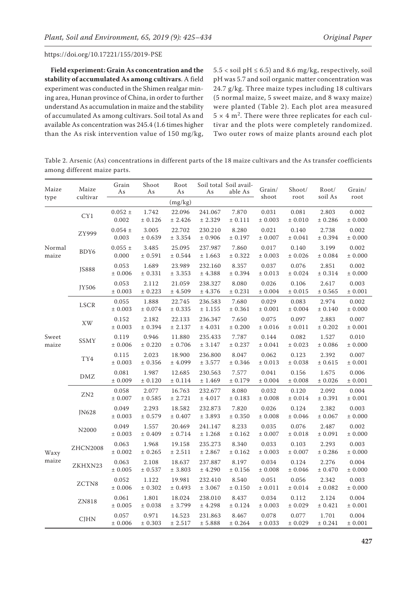**Field experiment: Grain As concentration and the stability of accumulated As among cultivars**. A field experiment was conducted in the Shimen realgar mining area, Hunan province of China, in order to further understand As accumulation in maize and the stability of accumulated As among cultivars. Soil total As and available As concentration was 245.4 (1.6 times higher than the As risk intervention value of 150 mg/kg,

 $5.5 <$  soil pH  $\leq 6.5$ ) and 8.6 mg/kg, respectively, soil pH was 5.7 and soil organic matter concentration was 24.7 g/kg. Three maize types including 18 cultivars (5 normal maize, 5 sweet maize, and 8 waxy maize) were planted (Table 2). Each plot area measured  $5 \times 4$  m<sup>2</sup>. There were three replicates for each cultivar and the plots were completely randomized. Two outer rows of maize plants around each plot

Table 2. Arsenic (As) concentrations in different parts of the 18 maize cultivars and the As transfer coefficients among different maize parts.

| Maize<br>type   | Maize<br>cultivar | Grain<br>As          | Shoot<br>As          | Root<br>As            | As                     | Soil total Soil avail-<br>able As | Grain/               | Shoot/<br>root       | Root/<br>soil As     | Grain/<br>root       |
|-----------------|-------------------|----------------------|----------------------|-----------------------|------------------------|-----------------------------------|----------------------|----------------------|----------------------|----------------------|
|                 |                   |                      |                      | (mg/kg)               |                        |                                   | shoot                |                      |                      |                      |
| Normal<br>maize | CY1               | $0.052 \pm$<br>0.002 | 1.742<br>$\pm$ 0.126 | 22.096<br>± 2.426     | 241.067<br>± 2.329     | 7.870<br>± 0.111                  | 0.031<br>± 0.003     | 0.081<br>± 0.010     | 2.803<br>± 0.286     | 0.002<br>± 0.000     |
|                 | ZY999             | $0.054 \pm$<br>0.003 | 3.005<br>± 0.639     | 22.702<br>± 3.354     | 230.210<br>$\pm$ 0.906 | 8.280<br>± 0.197                  | 0.021<br>± 0.007     | 0.140<br>$\pm$ 0.041 | 2.738<br>± 0.394     | 0.002<br>± 0.000     |
|                 | BDY6              | $0.055 \pm$<br>0.000 | 3.485<br>$\pm$ 0.591 | 25.095<br>$\pm$ 0.544 | 237.987<br>$\pm$ 1.663 | 7.860<br>± 0.322                  | 0.017<br>$\pm$ 0.003 | 0.140<br>$\pm$ 0.026 | 3.199<br>$\pm$ 0.084 | 0.002<br>$\pm$ 0.000 |
|                 | <b>JS888</b>      | 0.053<br>$\pm$ 0.006 | 1.689<br>$\pm$ 0.331 | 23.989<br>$\pm$ 3.353 | 232.160<br>$\pm$ 4.388 | 8.357<br>± 0.394                  | 0.037<br>$\pm$ 0.013 | 0.076<br>$\pm$ 0.024 | 2.851<br>$\pm$ 0.314 | 0.002<br>$\pm$ 0.000 |
|                 | JY506             | 0.053<br>± 0.003     | 2.112<br>$\pm$ 0.223 | 21.059<br>± 4.509     | 238.327<br>$\pm$ 4.376 | 8.080<br>± 0.231                  | 0.026<br>± 0.004     | 0.106<br>$\pm$ 0.015 | 2.617<br>$\pm$ 0.565 | 0.003<br>± 0.001     |
| Sweet<br>maize  | <b>LSCR</b>       | 0.055<br>± 0.003     | 1.888<br>± 0.074     | 22.745<br>± 0.335     | 236.583<br>$\pm$ 1.155 | 7.680<br>± 0.361                  | 0.029<br>± 0.001     | 0.083<br>± 0.004     | 2.974<br>± 0.140     | 0.002<br>± 0.000     |
|                 | XW                | 0.152<br>± 0.003     | 2.182<br>± 0.394     | 22.133<br>± 2.137     | 236.347<br>± 4.031     | 7.650<br>± 0.200                  | 0.075<br>± 0.016     | 0.097<br>± 0.011     | 2.883<br>± 0.202     | 0.007<br>± 0.001     |
|                 | SSMY              | 0.119<br>$\pm$ 0.006 | 0.946<br>$\pm$ 0.220 | 11.880<br>$\pm$ 0.706 | 235.433<br>$\pm$ 3.147 | 7.787<br>± 0.237                  | 0.144<br>$\pm$ 0.041 | 0.082<br>$\pm$ 0.023 | 1.527<br>± 0.086     | 0.010<br>± 0.000     |
|                 | TY4               | 0.115<br>$\pm$ 0.003 | 2.023<br>$\pm$ 0.356 | 18.900<br>± 4.099     | 236.800<br>$\pm$ 3.577 | 8.047<br>± 0.346                  | 0.062<br>$\pm$ 0.013 | 0.123<br>$\pm$ 0.038 | 2.392<br>$\pm$ 0.615 | 0.007<br>$\pm$ 0.001 |
|                 | $\rm DMZ$         | 0.081<br>± 0.009     | 1.987<br>$\pm$ 0.120 | 12.685<br>± 0.114     | 230.563<br>± 1.469     | 7.577<br>± 0.179                  | 0.041<br>± 0.004     | 0.156<br>± 0.008     | 1.675<br>± 0.026     | 0.006<br>$\pm$ 0.001 |
| Waxy<br>maize   | ZN <sub>2</sub>   | 0.058<br>$\pm$ 0.007 | 2.077<br>$\pm$ 0.585 | 16.763<br>$\pm$ 2.721 | 232.677<br>$\pm$ 4.017 | 8.080<br>± 0.183                  | 0.032<br>$\pm$ 0.008 | 0.120<br>$\pm$ 0.014 | 2.092<br>$\pm$ 0.391 | 0.004<br>$\pm$ 0.001 |
|                 | JN628             | 0.049<br>$\pm$ 0.003 | 2.293<br>$\pm$ 0.579 | 18.582<br>$\pm$ 0.407 | 232.873<br>$\pm$ 3.893 | 7.820<br>± 0.350                  | 0.026<br>± 0.008     | 0.124<br>± 0.046     | 2.382<br>± 0.067     | 0.003<br>± 0.000     |
|                 | N2000             | 0.049<br>$\pm$ 0.003 | 1.557<br>± 0.409     | 20.469<br>± 0.714     | 241.147<br>± 1.268     | 8.233<br>± 0.162                  | 0.035<br>± 0.007     | 0.076<br>$\pm$ 0.018 | 2.487<br>± 0.091     | 0.002<br>± 0.000     |
|                 | <b>ZHCN2008</b>   | 0.063<br>$\pm$ 0.002 | 1.968<br>$\pm$ 0.265 | 19.158<br>± 2.511     | 235.273<br>$\pm$ 2.867 | 8.340<br>± 0.162                  | 0.033<br>$\pm$ 0.003 | 0.103<br>$\pm$ 0.007 | 2.293<br>$\pm$ 0.286 | 0.003<br>± 0.000     |
|                 | ZKHXN23           | 0.063<br>$\pm$ 0.005 | 2.108<br>$\pm$ 0.537 | 18.637<br>$\pm$ 3.803 | 237.887<br>± 4.290     | 8.197<br>± 0.156                  | 0.034<br>± 0.008     | 0.124<br>$\pm$ 0.046 | 2.276<br>$\pm$ 0.470 | 0.004<br>$\pm$ 0.000 |
|                 | ZCTN8             | 0.052<br>± 0.006     | 1.122<br>$\pm$ 0.302 | 19.981<br>± 0.493     | 232.410<br>± 3.067     | 8.540<br>± 0.150                  | 0.051<br>± 0.011     | 0.056<br>± 0.014     | 2.342<br>± 0.082     | 0.003<br>± 0.000     |
|                 | ZN818             | 0.061<br>$\pm$ 0.005 | 1.801<br>$\pm$ 0.038 | 18.024<br>± 3.799     | 238.010<br>$\pm$ 4.298 | 8.437<br>± 0.124                  | 0.034<br>± 0.003     | 0.112<br>$\pm$ 0.029 | 2.124<br>± 0.421     | 0.004<br>± 0.001     |
|                 | <b>CJHN</b>       | 0.057<br>± 0.006     | 0.971<br>± 0.303     | 14.523<br>± 2.517     | 231.863<br>± 5.888     | 8.467<br>± 0.264                  | 0.078<br>± 0.033     | 0.077<br>± 0.029     | 1.701<br>± 0.241     | 0.004<br>± 0.001     |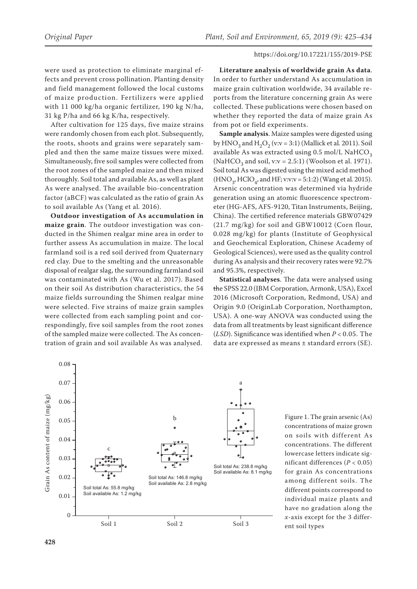were used as protection to eliminate marginal effects and prevent cross pollination. Planting density and field management followed the local customs of maize production. Fertilizers were applied with 11 000 kg/ha organic fertilizer, 190 kg N/ha, 31 kg P/ha and 66 kg K/ha, respectively.

After cultivation for 125 days, five maize strains were randomly chosen from each plot. Subsequently, the roots, shoots and grains were separately sampled and then the same maize tissues were mixed. Simultaneously, five soil samples were collected from the root zones of the sampled maize and then mixed thoroughly. Soil total and available As, as well as plant As were analysed. The available bio-concentration factor (aBCF) was calculated as the ratio of grain As to soil available As (Yang et al*.* 2016).

**Outdoor investigation of As accumulation in maize grain**. The outdoor investigation was conducted in the Shimen realgar mine area in order to further assess As accumulation in maize. The local farmland soil is a red soil derived from Quaternary red clay. Due to the smelting and the unreasonable disposal of realgar slag, the surrounding farmland soil was contaminated with As (Wu et al. 2017). Based on their soil As distribution characteristics, the 54 maize fields surrounding the Shimen realgar mine were selected. Five strains of maize grain samples were collected from each sampling point and correspondingly, five soil samples from the root zones of the sampled maize were collected. The As concentration of grain and soil available As was analysed.

**Literature analysis of worldwide grain As data**. In order to further understand As accumulation in maize grain cultivation worldwide, 34 available reports from the literature concerning grain As were collected. These publications were chosen based on whether they reported the data of maize grain As from pot or field experiments.

**Sample analysis**. Maize samples were digested using by  $HNO<sub>3</sub>$  and  $H<sub>2</sub>O<sub>2</sub>$  (v:v = 3:1) (Mallick et al. 2011). Soil available As was extracted using  $0.5$  mol/L NaHCO<sub>2</sub> (NaHCO<sub>3</sub> and soil, v:v = 2.5:1) (Woolson et al. 1971). Soil total As was digested using the mixed acid method  $(HNO<sub>3</sub>, HClO<sub>4</sub>, and HF; v:v:v = 5:1:2)$  (Wang et al. 2015). Arsenic concentration was determined via hydride generation using an atomic fluorescence spectrometer (HG-AFS, AFS-9120, Titan Instruments, Beijing, China). The certified reference materials GBW07429 (21.7 mg/kg) for soil and GBW10012 (Corn flour, 0.028 mg/kg) for plants (Institute of Geophysical and Geochemical Exploration, Chinese Academy of Geological Sciences), were used as the quality control during As analysis and their recovery rates were 92.7% and 95.3%, respectively.

**Statistical analyses**. The data were analysed using the SPSS 22.0 (IBM Corporation, Armonk, USA), Excel 2016 (Microsoft Corporation, Redmond, USA) and Origin 9.0 (OriginLab Corporation, Northampton, USA). A one-way ANOVA was conducted using the data from all treatments by least significant difference (*LSD*). Significance was identified when *P* < 0.05. The data are expressed as means ± standard errors (SE).



Figure 1. The grain arsenic (As) concentrations of maize grown on soils with different As concentrations. The different lowercase letters indicate significant differences (*P* < 0.05) for grain As concentrations among different soils. The different points correspond to individual maize plants and have no gradation along the *x*-axis except for the 3 differ-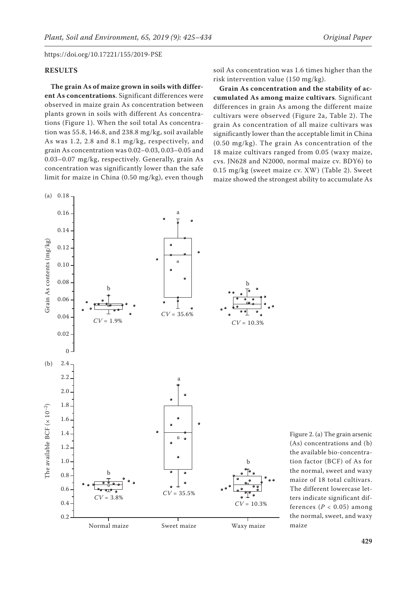# **RESULTS**

**The grain As of maize grown in soils with different As concentrations**. Significant differences were observed in maize grain As concentration between plants grown in soils with different As concentrations (Figure 1). When the soil total As concentration was 55.8, 146.8, and 238.8 mg/kg, soil available As was 1.2, 2.8 and 8.1 mg/kg, respectively, and grain As concentration was 0.02–0.03, 0.03–0.05 and 0.03–0.07 mg/kg, respectively. Generally, grain As concentration was significantly lower than the safe limit for maize in China (0.50 mg/kg), even though

soil As concentration was 1.6 times higher than the risk intervention value (150 mg/kg).

**Grain As concentration and the stability of accumulated As among maize cultivars**. Significant differences in grain As among the different maize cultivars were observed (Figure 2a, Table 2). The grain As concentration of all maize cultivars was significantly lower than the acceptable limit in China (0.50 mg/kg). The grain As concentration of the 18 maize cultivars ranged from 0.05 (waxy maize, cvs. JN628 and N2000, normal maize cv. BDY6) to 0.15 mg/kg (sweet maize cv. XW) (Table 2). Sweet maize showed the strongest ability to accumulate As



Figure 2. (a) The grain arsenic (As) concentrations and (b) the available bio-concentration factor (BCF) of As for the normal, sweet and waxy maize of 18 total cultivars. The different lowercase letters indicate significant differences ( $P < 0.05$ ) among the normal, sweet, and waxy maize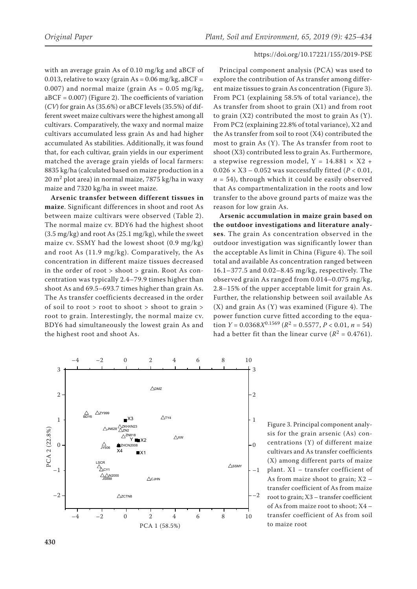with an average grain As of 0.10 mg/kg and aBCF of 0.013, relative to waxy (grain As =  $0.06$  mg/kg, aBCF = 0.007) and normal maize (grain  $As = 0.05$  mg/kg, aBCF = 0.007) (Figure 2). The coefficients of variation (*CV*) for grain As (35.6%) or aBCF levels (35.5%) of different sweet maize cultivars were the highest among all cultivars. Comparatively, the waxy and normal maize cultivars accumulated less grain As and had higher accumulated As stabilities. Additionally, it was found that, for each cultivar, grain yields in our experiment matched the average grain yields of local farmers: 8835 kg/ha (calculated based on maize production in a  $20 \text{ m}^2$  plot area) in normal maize, 7875 kg/ha in waxy maize and 7320 kg/ha in sweet maize.

**Arsenic transfer between different tissues in maize**. Significant differences in shoot and root As between maize cultivars were observed (Table 2). The normal maize cv. BDY6 had the highest shoot (3.5 mg/kg) and root As (25.1 mg/kg), while the sweet maize cv. SSMY had the lowest shoot (0.9 mg/kg) and root As (11.9 mg/kg). Comparatively, the As concentration in different maize tissues decreased in the order of root > shoot > grain. Root As concentration was typically 2.4–79.9 times higher than shoot As and 69.5–693.7 times higher than grain As. The As transfer coefficients decreased in the order of soil to root > root to shoot > shoot to grain > root to grain. Interestingly, the normal maize cv. BDY6 had simultaneously the lowest grain As and the highest root and shoot As.

## https://doi.org/10.17221/155/2019-PSE

Principal component analysis (PCA) was used to explore the contribution of As transfer among different maize tissues to grain As concentration (Figure 3). From PC1 (explaining 58.5% of total variance), the As transfer from shoot to grain (X1) and from root to grain  $(X2)$  contributed the most to grain As  $(Y)$ . From PC2 (explaining 22.8% of total variance), X2 and the As transfer from soil to root (X4) contributed the most to grain As (Y). The As transfer from root to shoot (X3) contributed less to grain As. Furthermore, a stepwise regression model,  $Y = 14.881 \times X2 +$ 0.026 × X3 – 0.052 was successfully fitted (*P* < 0.01,  $n = 54$ ), through which it could be easily observed that As compartmentalization in the roots and low transfer to the above ground parts of maize was the reason for low grain As.

**Arsenic accumulation in maize grain based on the outdoor investigations and literature analyses**. The grain As concentration observed in the outdoor investigation was significantly lower than the acceptable As limit in China (Figure 4). The soil total and available As concentration ranged between 16.1–377.5 and 0.02–8.45 mg/kg, respectively. The observed grain As ranged from 0.014–0.075 mg/kg, 2.8–15% of the upper acceptable limit for grain As. Further, the relationship between soil available As (X) and grain As (Y) was examined (Figure 4). The power function curve fitted according to the equation *Y* =  $0.0368X^{0.1569}$  ( $R^2$  =  $0.5577$ , *P* <  $0.01$ , *n* = 54) had a better fit than the linear curve  $(R^2 = 0.4761)$ .



Figure 3. Principal component analysis for the grain arsenic (As) concentrations (Y) of different maize cultivars and As transfer coefficients (X) among different parts of maize plant. X1 – transfer coefficient of As from maize shoot to grain; X2 – transfer coefficient of As from maize root to grain; X3 – transfer coefficient of As from maize root to shoot; X4 – transfer coefficient of As from soil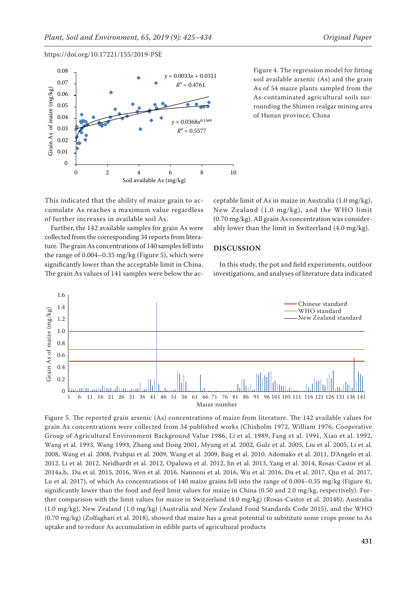



Figure 4. The regression model for fitting soil available arsenic (As) and the grain As of 54 maize plants sampled from the As-contaminated agricultural soils surrounding the Shimen realgar mining area of Hunan province, China

This indicated that the ability of maize grain to accumulate As reaches a maximum value regardless of further increases in available soil As.

Further, the 142 available samples for grain As were collected from the corresponding 34 reports from literature. The grain As concentrations of 140 samples fell into the range of 0.004–0.35 mg/kg (Figure 5), which were significantly lower than the acceptable limit in China. The grain As values of 141 samples were below the ac-

ceptable limit of As in maize in Australia (1.0 mg/kg), New Zealand (1.0 mg/kg), and the WHO limit (0.70 mg/kg). All grain As concentration was considerably lower than the limit in Switzerland (4.0 mg/kg).

# **DISCUSSION**

In this study, the pot and field experiments, outdoor investigations, and analyses of literature data indicated



Figure 5. The reported grain arsenic (As) concentrations of maize from literature. The 142 available values for grain As concentrations were collected from 34 published works (Chisholm 1972, William 1976, Cooperative Group of Agricultural Environment Background Value 1986, Li et al. 1989, Fang et al. 1991, Xiao et al. 1992, Wang et al. 1993, Wang 1993, Zhang and Dong 2001, Myung et al. 2002, Gulz et al. 2005, Liu et al. 2005, Li et al. 2008, Wang et al. 2008, Prabpai et al. 2009, Wang et al. 2009, Baig et al. 2010, Adomako et al. 2011, D'Angelo et al. 2012, Li et al. 2012, Neidhardt et al. 2012, Opaluwa et al. 2012, Jin et al. 2013, Yang et al. 2014, Rosas-Castor et al. 2014a,b, Du et al. 2015, 2016, Wen et al. 2016, Nannoni et al. 2016, Wu et al. 2016, Du et al. 2017, Qiu et al. 2017, Lu et al. 2017), of which As concentrations of 140 maize grains fell into the range of 0.004–0.35 mg/kg (Figure 4), significantly lower than the food and feed limit values for maize in China (0.50 and 2.0 mg/kg, respectively). Further comparison with the limit values for maize in Switzerland (4.0 mg/kg) (Rosas-Castor et al. 2014b), Australia (1.0 mg/kg), New Zealand (1.0 mg/kg) (Australia and New Zealand Food Standards Code 2015), and the WHO (0.70 mg/kg) (Zolfaghari et al. 2018), showed that maize has a great potential to substitute some crops prone to As uptake and to reduce As accumulation in edible parts of agricultural products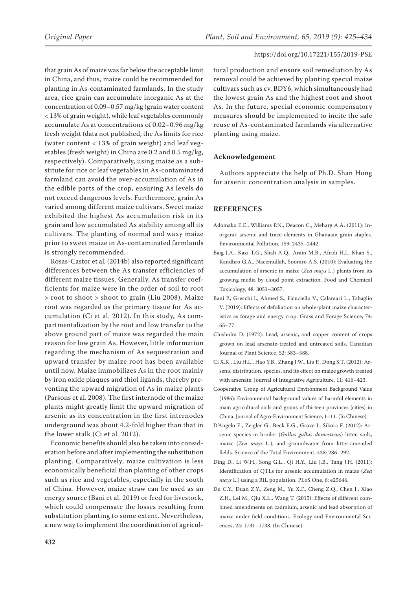that grain As of maize was far below the acceptable limit in China, and thus, maize could be recommended for planting in As-contaminated farmlands. In the study area, rice grain can accumulate inorganic As at the concentration of 0.09–0.57 mg/kg (grain water content < 13% of grain weight), while leaf vegetables commonly accumulate As at concentrations of 0.02–0.96 mg/kg fresh weight (data not published, the As limits for rice (water content < 13% of grain weight) and leaf vegetables (fresh weight) in China are 0.2 and 0.5 mg/kg, respectively). Comparatively, using maize as a substitute for rice or leaf vegetables in As-contaminated farmland can avoid the over-accumulation of As in the edible parts of the crop, ensuring As levels do not exceed dangerous levels. Furthermore, grain As varied among different maize cultivars. Sweet maize exhibited the highest As accumulation risk in its grain and low accumulated As stability among all its cultivars. The planting of normal and waxy maize prior to sweet maize in As-contaminated farmlands is strongly recommended.

Rosas-Castor et al*.* (2014b) also reported significant differences between the As transfer efficiencies of different maize tissues. Generally, As transfer coefficients for maize were in the order of soil to root > root to shoot > shoot to grain (Liu 2008). Maize root was regarded as the primary tissue for As accumulation (Ci et al. 2012). In this study, As compartmentalization by the root and low transfer to the above ground part of maize was regarded the main reason for low grain As. However, little information regarding the mechanism of As sequestration and upward transfer by maize root has been available until now. Maize immobilizes As in the root mainly by iron oxide plaques and thiol ligands, thereby preventing the upward migration of As in maize plants (Parsons et al. 2008). The first internode of the maize plants might greatly limit the upward migration of arsenic as its concentration in the first internodes underground was about 4.2-fold higher than that in the lower stalk (Ci et al*.* 2012).

Economic benefits should also be taken into consideration before and after implementing the substitution planting. Comparatively, maize cultivation is less economically beneficial than planting of other crops such as rice and vegetables, especially in the south of China. However, maize straw can be used as an energy source (Bani et al. 2019) or feed for livestock, which could compensate the losses resulting from substitution planting to some extent. Nevertheless, a new way to implement the coordination of agricul-

tural production and ensure soil remediation by As removal could be achieved by planting special maize cultivars such as cv. BDY6, which simultaneously had the lowest grain As and the highest root and shoot As. In the future, special economic compensatory measures should be implemented to incite the safe reuse of As-contaminated farmlands via alternative planting using maize.

# **Acknowledgement**

Authors appreciate the help of Ph.D. Shan Hong for arsenic concentration analysis in samples.

# **REFERENCES**

- Adomako E.E., Williams P.N., Deacon C., Meharg A.A. (2011): Inorganic arsenic and trace elements in Ghanaian grain staples. Environmental Pollution, 159: 2435–2442.
- Baig J.A., Kazi T.G., Shah A.Q., Arain M.B., Afridi H.I., Khan S., Kandhro G.A., Naeemullah, Soomro A.S. (2010): Evaluating the accumulation of arsenic in maize (*Zea mays* L.) plants from its growing media by cloud point extraction. Food and Chemical Toxicology, 48: 3051–3057.
- Bani P., Grecchi I., Ahmed S., Ficuciello V., Calamari L., Tabaglio V. (2019): Effects of defoliation on whole-plant maize characteristics as forage and energy crop. Grass and Forage Science, 74: 65–77.
- Chisholm D. (1972): Lead, arsenic, and copper content of crops grown on lead arsenate-treated and untreated soils. Canadian Journal of Plant Science, 52: 583–588.
- Ci X.K., Liu H.L., Hao Y.B., Zhang J.W., Liu P., Dong S.T. (2012): Arsenic distribution, species, and its effect on maize growth treated with arsenate. Journal of Integrative Agriculture, 11: 416–423.
- Cooperative Group of Agricultural Environment Background Value (1986): Environmental background values of harmful elements in main agricultural soils and grains of thirteen provinces (cities) in China. Journal of Agro-Environment Science, 1–11. (In Chinese)
- D'Angelo E., Zeigler G., Beck E.G., Grove J., Sikora F. (2012): Arsenic species in broiler (*Gallus gallus domesticus*) litter, soils, maize (*Zea mays* L.), and groundwater from litter-amended fields. Science of the Total Environment, 438: 286–292.
- Ding D., Li W.H., Song G.L., Qi H.Y., Liu J.B., Tang J.H. (2011): Identification of QTLs for arsenic accumulation in maize (*Zea mays* L.) using a RIL population. PLoS One, 6: e25646.
- Du C.Y., Duan Z.Y., Zeng M., Yu X.F., Cheng Z.Q., Chen J., Xiao Z.H., Lei M., Qiu X.L., Wang T. (2015): Effects of different combined amendments on cadmium, arsenic and lead absorption of maize under field conditions. Ecology and Environmental Sciences, 24: 1731–1738. (In Chinese)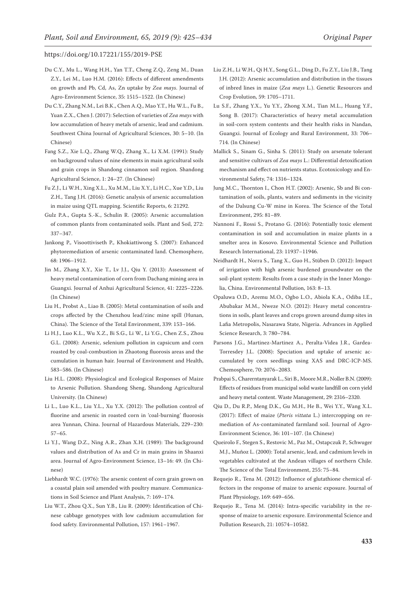- Du C.Y., Mu L., Wang H.H., Yan T.T., Cheng Z.Q., Zeng M., Duan Z.Y., Lei M., Luo H.M. (2016): Effects of different amendments on growth and Pb, Cd, As, Zn uptake by *Zea mays*. Journal of Agro-Environment Science, 35: 1515–1522. (In Chinese)
- Du C.Y., Zhang N.M., Lei B.K., Chen A.Q., Mao Y.T., Hu W.L., Fu B., Yuan Z.X., Chen J. (2017): Selection of varieties of *Zea mays* with low accumulation of heavy metals of arsenic, lead and cadmium. Southwest China Journal of Agricultural Sciences, 30: 5–10. (In Chinese)
- Fang S.Z., Xie L.Q., Zhang W.Q., Zhang X., Li X.M. (1991): Study on background values of nine elements in main agricultural soils and grain crops in Shandong cinnamon soil region. Shandong Agricultural Science, 1: 24–27. (In Chinese)
- Fu Z.J., Li W.H., Xing X.L., Xu M.M., Liu X.Y., Li H.C., Xue Y.D., Liu Z.H., Tang J.H. (2016): Genetic analysis of arsenic accumulation in maize using QTL mapping. Scientific Reports, 6: 21292.
- Gulz P.A., Gupta S.-K., Schulin R. (2005): Arsenic accumulation of common plants from contaminated soils. Plant and Soil, 272: 337–347.
- Jankong P., Visoottiviseth P., Khokiattiwong S. (2007): Enhanced phytoremediation of arsenic contaminated land. Chemosphere, 68: 1906–1912.
- Jin M., Zhang X.Y., Xie T., Lv J.J., Qiu Y. (2013): Assessment of heavy metal contamination of corn from Dachang mining area in Guangxi. Journal of Anhui Agricultural Science, 41: 2225–2226. (In Chinese)
- Liu H., Probst A., Liao B. (2005): Metal contamination of soils and crops affected by the Chenzhou lead/zinc mine spill (Hunan, China). The Science of the Total Environment, 339: 153–166.
- Li H.J., Luo K.L., Wu X.Z., Bi S.G., Li W., Li Y.G., Chen Z.S., Zhou G.L. (2008): Arsenic, selenium pollution in capsicum and corn roasted by coal-combustion in Zhaotong fluorosis areas and the cumulation in human hair. Journal of Environment and Health, 583–586. (In Chinese)
- Liu H.L. (2008): Physiological and Ecological Responses of Maize to Arsenic Pollution. Shandong Sheng, Shandong Agricultural University. (In Chinese)
- Li L., Luo K.L., Liu Y.L., Xu Y.X. (2012): The pollution control of fluorine and arsenic in roasted corn in 'coal-burning' fluorosis area Yunnan, China. Journal of Hazardous Materials, 229–230: 57–65.
- Li Y.J., Wang D.Z., Ning A.R., Zhan X.H. (1989): The background values and distribution of As and Cr in main grains in Shaanxi area. Journal of Agro-Environment Science, 13–16: 49. (In Chinese)
- Liebhardt W.C. (1976): The arsenic content of corn grain grown on a coastal plain soil amended with poultry manure. Communications in Soil Science and Plant Analysis, 7: 169–174.
- Liu W.T., Zhou Q.X., Sun Y.B., Liu R. (2009): Identification of Chinese cabbage genotypes with low cadmium accumulation for food safety. Environmental Pollution, 157: 1961–1967.
- Liu Z.H., Li W.H., Qi H.Y., Song G.L., Ding D., Fu Z.Y., Liu J.B., Tang J.H. (2012): Arsenic accumulation and distribution in the tissues of inbred lines in maize (*Zea mays* L.). Genetic Resources and Crop Evolution, 59: 1705–1711.
- Lu S.F., Zhang Y.X., Yu Y.Y., Zhong X.M., Tian M.L., Huang Y.F., Song B. (2017): Characteristics of heavy metal accumulation in soil-corn system contents and their health risks in Nandan, Guangxi. Journal of Ecology and Rural Environment, 33: 706– 714. (In Chinese)
- Mallick S., Sinam G., Sinha S. (2011): Study on arsenate tolerant and sensitive cultivars of *Zea mays* L.: Differential detoxification mechanism and effect on nutrients status. Ecotoxicology and Environmental Safety, 74: 1316–1324.
- Jung M.C., Thornton I., Chon H.T. (2002): Arsenic, Sb and Bi contamination of soils, plants, waters and sediments in the vicinity of the Dalsung Cu-W mine in Korea. The Science of the Total Environment, 295: 81–89.
- Nannoni F., Rossi S., Protano G. (2016): Potentially toxic element contamination in soil and accumulation in maize plants in a smelter area in Kosovo. Environmental Science and Pollution Research International, 23: 11937–11946.
- Neidhardt H., Norra S., Tang X., Guo H., Stüben D. (2012): Impact of irrigation with high arsenic burdened groundwater on the soil-plant system: Results from a case study in the Inner Mongolia, China. Environmental Pollution, 163: 8–13.
- Opaluwa O.D., Aremu M.O., Ogbo L.O., Abiola K.A., Odiba I.E., Abubakar M.M., Nweze N.O. (2012): Heavy metal concentrations in soils, plant leaves and crops grown around dump sites in Lafia Metropolis, Nasarawa State, Nigeria. Advances in Applied Science Research, 3: 780–784.
- Parsons J.G., Martinez-Martinez A., Peralta-Videa J.R., Gardea-Torresdey J.L. (2008): Speciation and uptake of arsenic accumulated by corn seedlings using XAS and DRC-ICP-MS. Chemosphere, 70: 2076–2083.
- Prabpai S., Charerntanyarak L., Siri B., Moore M.R., Noller B.N. (2009): Effects of residues from municipal solid waste landfill on corn yield and heavy metal content. Waste Management, 29: 2316–2320.
- Qiu D., Du R.P., Meng D.K., Gu M.H., He B., Wei Y.Y., Wang X.L. (2017): Effect of maize (*Pteris vittata* L.) intercropping on remediation of As-contaminated farmland soil. Journal of Agro-Environment Science, 36: 101–107. (In Chinese)
- Queirolo F., Stegen S., Restovic M., Paz M., Ostapczuk P., Schwuger M.J., Muñoz L. (2000): Total arsenic, lead, and cadmium levels in vegetables cultivated at the Andean villages of northern Chile. The Science of the Total Environment, 255: 75–84.
- Requejo R., Tena M. (2012): Influence of glutathione chemical effectors in the response of maize to arsenic exposure. Journal of Plant Physiology, 169: 649–656.
- Requejo R., Tena M. (2014): Intra-specific variability in the response of maize to arsenic exposure. Environmental Science and Pollution Research, 21: 10574–10582.